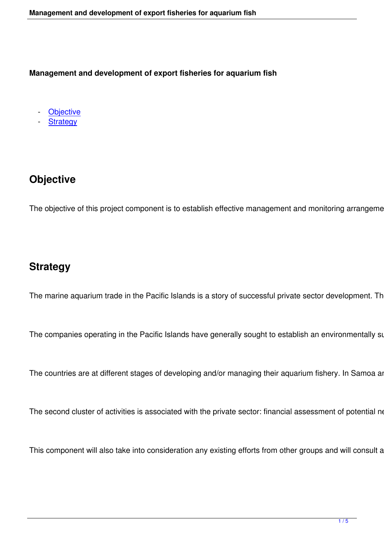**Management and development of export fisheries for aquarium fish**

**Objective** 

**Strategy** 

# **Objective**

The objective of this project component is to establish effective management and monitoring arrangements

## **Strategy**

The marine aquarium trade in the Pacific Islands is a story of successful private sector development. There

The companies operating in the Pacific Islands have generally sought to establish an environmentally susta

The countries are at different stages of developing and/or managing their aquarium fishery. In Samoa and I

The second cluster of activities is associated with the private sector: financial assessment of potential new

This component will also take into consideration any existing efforts from other groups and will consult and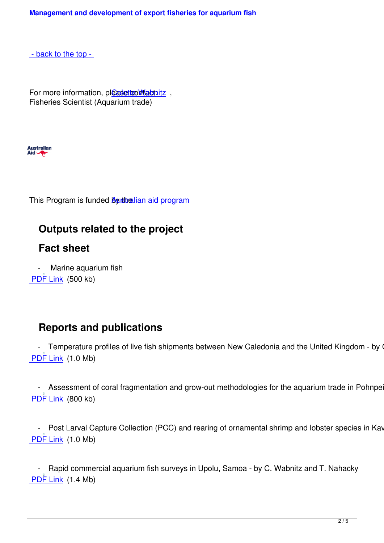- back to the top -

[For more informatio](#top)n, pleaset comtactnitz, Fisheries Scientist (Aquarium trade)



This Program is funded **By stralian aid program** 

### **Outputs relate[d to the project](http://aid.dfat.gov.au/Pages/home.aspx)**

#### **Fact sheet**

Marine aquarium fish PDF Link (500 kb)

#### **Reports and publications**

- Temperature profiles of live fish shipments between New Caledonia and the United Kingdom - by C. \ PDF Link (1.0 Mb)

- Assessment of coral fragmentation and grow-out methodologies for the aquarium trade in Pohnpei, F. PDF Link (800 kb)

- Post Larval Capture Collection (PCC) and rearing of ornamental shrimp and lobster species in Kavier PDF Link (1.0 Mb)

 [- Rapi](http://www.spc.int/DigitalLibrary/Doc/FAME/Reports/Teitelbaum_15_PNG_PCC_for_lobsters_and_shrimps.pdf)d commercial aquarium fish surveys in Upolu, Samoa - by C. Wabnitz and T. Nahacky PDF Link (1.4 Mb)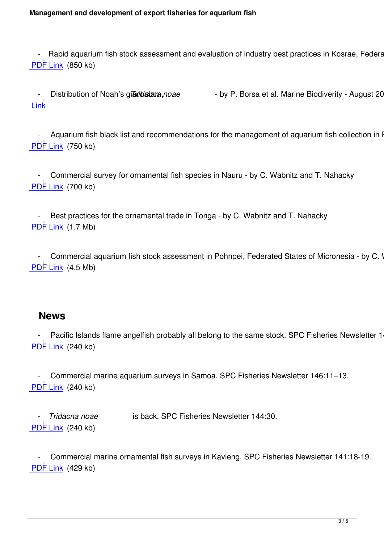- Rapid aquarium fish stock assessment and evaluation of industry best practices in Kosrae, Federated PDF Link (850 kb)

Distribution of Noah's giant clam, noae - by P. Borsa et al. Marine Biodiverity - August 2014

Link

Aquarium fish black list and recommendations for the management of aquarium fish collection in French Polynesia PDF Link (750 kb)

Commercial survey for ornamental fish species in Nauru - by C. Wabnitz and T. Nahacky PDF Link (700 kb)

Best practices for the ornamental trade in Tonga - by C. Wabnitz and T. Nahacky PDF Link (1.7 Mb)

- Commercial aquarium fish stock assessment in Pohnpei, Federated States of Micronesia - by C. Wal PDF Link (4.5 Mb)

#### **News**

Pacific Islands flame angelfish probably all belong to the same stock. SPC Fisheries Newsletter 146: PDF Link (240 kb)

 [- Com](http://www.spc.int/DigitalLibrary/Doc/FAME/InfoBull/FishNews/146/FishNews146_09_Wabnitz.pdf)mercial marine aquarium surveys in Samoa. SPC Fisheries Newsletter 146:11–13. PDF Link (240 kb)

 - *[Trida](http://www.spc.int/DigitalLibrary/Doc/FAME/InfoBull/FishNews/146/FishNews146_11_Wabnitz.pdf)cna noae* is back. SPC Fisheries Newsletter 144:30. PDF Link (240 kb)

 [- Com](http://www.spc.int/DigitalLibrary/Doc/FAME/InfoBull/FishNews/145/FishNews145_30_Wabnitz.pdf)mercial marine ornamental fish surveys in Kavieng. SPC Fisheries Newsletter 141:18-19. PDF Link (429 kb)